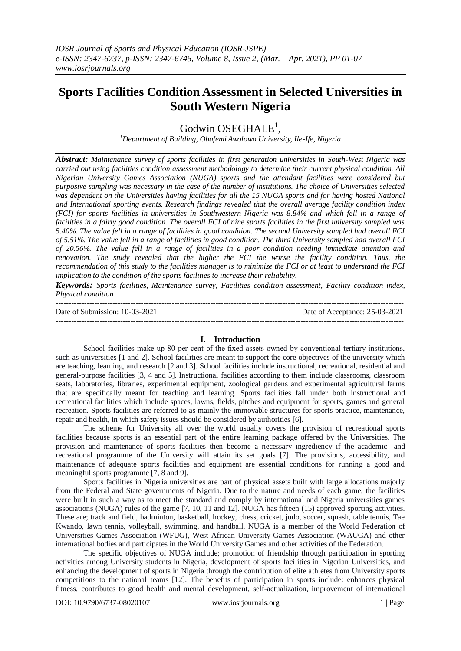# **Sports Facilities Condition Assessment in Selected Universities in South Western Nigeria**

Godwin OSEGHALE<sup>1</sup>,

*<sup>1</sup>Department of Building, Obafemi Awolowo University, Ile-Ife, Nigeria*

*Abstract: Maintenance survey of sports facilities in first generation universities in South-West Nigeria was carried out using facilities condition assessment methodology to determine their current physical condition. All Nigerian University Games Association (NUGA) sports and the attendant facilities were considered but purposive sampling was necessary in the case of the number of institutions. The choice of Universities selected was dependent on the Universities having facilities for all the 15 NUGA sports and for having hosted National and International sporting events. Research findings revealed that the overall average facility condition index (FCI) for sports facilities in universities in Southwestern Nigeria was 8.84% and which fell in a range of facilities in a fairly good condition. The overall FCI of nine sports facilities in the first university sampled was 5.40%. The value fell in a range of facilities in good condition. The second University sampled had overall FCI of 5.51%. The value fell in a range of facilities in good condition. The third University sampled had overall FCI of 20.56%. The value fell in a range of facilities in a poor condition needing immediate attention and renovation. The study revealed that the higher the FCI the worse the facility condition. Thus, the recommendation of this study to the facilities manager is to minimize the FCI or at least to understand the FCI implication to the condition of the sports facilities to increase their reliability.*

*Keywords: Sports facilities, Maintenance survey, Facilities condition assessment, Facility condition index, Physical condition*

| Date of Submission: 10-03-2021 | Date of Acceptance: 25-03-2021 |
|--------------------------------|--------------------------------|
|                                |                                |

## **I. Introduction**

School facilities make up 80 per cent of the fixed assets owned by conventional tertiary institutions, such as universities [1 and 2]. School facilities are meant to support the core objectives of the university which are teaching, learning, and research [2 and 3]. School facilities include instructional, recreational, residential and general-purpose facilities [3, 4 and 5]. Instructional facilities according to them include classrooms, classroom seats, laboratories, libraries, experimental equipment, zoological gardens and experimental agricultural farms that are specifically meant for teaching and learning. Sports facilities fall under both instructional and recreational facilities which include spaces, lawns, fields, pitches and equipment for sports, games and general recreation. Sports facilities are referred to as mainly the immovable structures for sports practice, maintenance, repair and health, in which safety issues should be considered by authorities [6].

The scheme for University all over the world usually covers the provision of recreational sports facilities because sports is an essential part of the entire learning package offered by the Universities. The provision and maintenance of sports facilities then become a necessary ingrediency if the academic and recreational programme of the University will attain its set goals [7]. The provisions, accessibility, and maintenance of adequate sports facilities and equipment are essential conditions for running a good and meaningful sports programme [7, 8 and 9].

Sports facilities in Nigeria universities are part of physical assets built with large allocations majorly from the Federal and State governments of Nigeria. Due to the nature and needs of each game, the facilities were built in such a way as to meet the standard and comply by international and Nigeria universities games associations (NUGA) rules of the game [7, 10, 11 and 12]. NUGA has fifteen (15) approved sporting activities. These are; track and field, badminton, basketball, hockey, chess, cricket, judo, soccer, squash, table tennis, Tae Kwando, lawn tennis, volleyball, swimming, and handball. NUGA is a member of the World Federation of Universities Games Association (WFUG), West African University Games Association (WAUGA) and other international bodies and participates in the World University Games and other activities of the Federation.

The specific objectives of NUGA include; promotion of friendship through participation in sporting activities among University students in Nigeria, development of sports facilities in Nigerian Universities, and enhancing the development of sports in Nigeria through the contribution of elite athletes from University sports competitions to the national teams [12]. The benefits of participation in sports include: enhances physical fitness, contributes to good health and mental development, self-actualization, improvement of international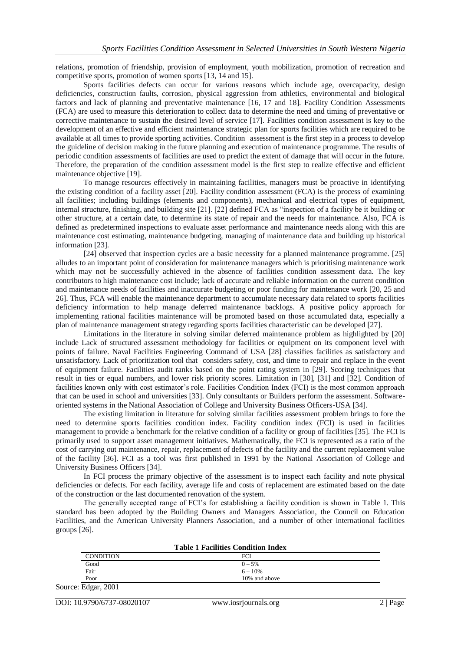relations, promotion of friendship, provision of employment, youth mobilization, promotion of recreation and competitive sports, promotion of women sports [13, 14 and 15].

Sports facilities defects can occur for various reasons which include age, overcapacity, design deficiencies, construction faults, corrosion, physical aggression from athletics, environmental and biological factors and lack of planning and preventative maintenance [16, 17 and 18]. Facility Condition Assessments (FCA) are used to measure this deterioration to collect data to determine the need and timing of preventative or corrective maintenance to sustain the desired level of service [17]. Facilities condition assessment is key to the development of an effective and efficient maintenance strategic plan for sports facilities which are required to be available at all times to provide sporting activities. Condition assessment is the first step in a process to develop the guideline of decision making in the future planning and execution of maintenance programme. The results of periodic condition assessments of facilities are used to predict the extent of damage that will occur in the future. Therefore, the preparation of the condition assessment model is the first step to realize effective and efficient maintenance objective [19].

To manage resources effectively in maintaining facilities, managers must be proactive in identifying the existing condition of a facility asset [20]. Facility condition assessment (FCA) is the process of examining all facilities; including buildings (elements and components), mechanical and electrical types of equipment, internal structure, finishing, and building site [21]. [22] defined FCA as "inspection of a facility be it building or other structure, at a certain date, to determine its state of repair and the needs for maintenance. Also, FCA is defined as predetermined inspections to evaluate asset performance and maintenance needs along with this are maintenance cost estimating, maintenance budgeting, managing of maintenance data and building up historical information [23].

[24] observed that inspection cycles are a basic necessity for a planned maintenance programme. [25] alludes to an important point of consideration for maintenance managers which is prioritising maintenance work which may not be successfully achieved in the absence of facilities condition assessment data. The key contributors to high maintenance cost include; lack of accurate and reliable information on the current condition and maintenance needs of facilities and inaccurate budgeting or poor funding for maintenance work [20, 25 and 26]. Thus, FCA will enable the maintenance department to accumulate necessary data related to sports facilities deficiency information to help manage deferred maintenance backlogs. A positive policy approach for implementing rational facilities maintenance will be promoted based on those accumulated data, especially a plan of maintenance management strategy regarding sports facilities characteristic can be developed [27].

Limitations in the literature in solving similar deferred maintenance problem as highlighted by [20] include Lack of structured assessment methodology for facilities or equipment on its component level with points of failure. Naval Facilities Engineering Command of USA [28] classifies facilities as satisfactory and unsatisfactory. Lack of prioritization tool that considers safety, cost, and time to repair and replace in the event of equipment failure. Facilities audit ranks based on the point rating system in [29]. Scoring techniques that result in ties or equal numbers, and lower risk priority scores. Limitation in [30], [31] and [32]. Condition of facilities known only with cost estimator's role. Facilities Condition Index (FCI) is the most common approach that can be used in school and universities [33]. Only consultants or Builders perform the assessment. Softwareoriented systems in the National Association of College and University Business Officers-USA [34].

The existing limitation in literature for solving similar facilities assessment problem brings to fore the need to determine sports facilities condition index. Facility condition index (FCI) is used in facilities management to provide a benchmark for the relative condition of a facility or group of facilities [35]. The FCI is primarily used to support asset management initiatives. Mathematically, the FCI is represented as a ratio of the cost of carrying out maintenance, repair, replacement of defects of the facility and the current replacement value of the facility [36]. FCI as a tool was first published in 1991 by the National Association of College and University Business Officers [34].

In FCI process the primary objective of the assessment is to inspect each facility and note physical deficiencies or defects. For each facility, average life and costs of replacement are estimated based on the date of the construction or the last documented renovation of the system.

The generally accepted range of FCI's for establishing a facility condition is shown in Table 1. This standard has been adopted by the Building Owners and Managers Association, the Council on Education Facilities, and the American University Planners Association, and a number of other international facilities groups [26].

| <b>Table 1 Facilities Condition Index</b> |               |  |  |  |  |
|-------------------------------------------|---------------|--|--|--|--|
| <b>CONDITION</b>                          | FCI           |  |  |  |  |
| Good                                      | $0 - 5\%$     |  |  |  |  |
| Fair                                      | $6 - 10\%$    |  |  |  |  |
| Poor                                      | 10% and above |  |  |  |  |
| $. \Gamma$ J <sub>ram</sub> $2001$        |               |  |  |  |  |

Source: Edgar, 2001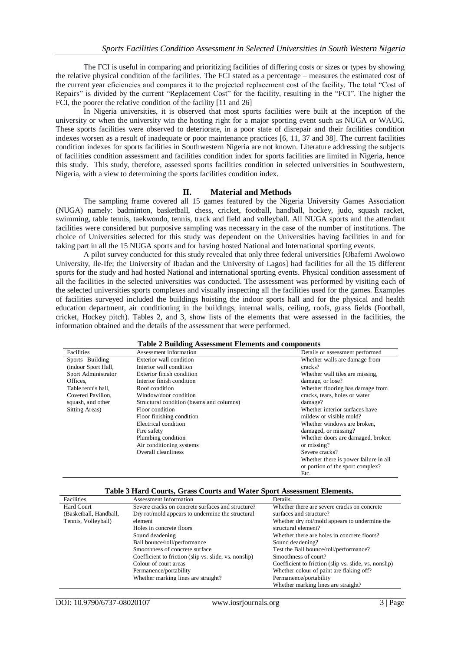The FCI is useful in comparing and prioritizing facilities of differing costs or sizes or types by showing the relative physical condition of the facilities. The FCI stated as a percentage – measures the estimated cost of the current year eficiencies and compares it to the projected replacement cost of the facility. The total "Cost of Repairs" is divided by the current "Replacement Cost" for the facility, resulting in the "FCI". The higher the FCI, the poorer the relative condition of the facility [11 and 26]

In Nigeria universities, it is observed that most sports facilities were built at the inception of the university or when the university win the hosting right for a major sporting event such as NUGA or WAUG. These sports facilities were observed to deteriorate, in a poor state of disrepair and their facilities condition indexes worsen as a result of inadequate or poor maintenance practices [6, 11, 37 and 38]. The current facilities condition indexes for sports facilities in Southwestern Nigeria are not known. Literature addressing the subjects of facilities condition assessment and facilities condition index for sports facilities are limited in Nigeria, hence this study. This study, therefore, assessed sports facilities condition in selected universities in Southwestern, Nigeria, with a view to determining the sports facilities condition index.

#### **II. Material and Methods**

The sampling frame covered all 15 games featured by the Nigeria University Games Association (NUGA) namely: badminton, basketball, chess, cricket, football, handball, hockey, judo, squash racket, swimming, table tennis, taekwondo, tennis, track and field and volleyball. All NUGA sports and the attendant facilities were considered but purposive sampling was necessary in the case of the number of institutions. The choice of Universities selected for this study was dependent on the Universities having facilities in and for taking part in all the 15 NUGA sports and for having hosted National and International sporting events.

A pilot survey conducted for this study revealed that only three federal universities [Obafemi Awolowo University, Ile-Ife; the University of Ibadan and the University of Lagos] had facilities for all the 15 different sports for the study and had hosted National and international sporting events. Physical condition assessment of all the facilities in the selected universities was conducted. The assessment was performed by visiting each of the selected universities sports complexes and visually inspecting all the facilities used for the games. Examples of facilities surveyed included the buildings hoisting the indoor sports hall and for the physical and health education department, air conditioning in the buildings, internal walls, ceiling, roofs, grass fields (Football, cricket, Hockey pitch). Tables 2, and 3, show lists of the elements that were assessed in the facilities, the information obtained and the details of the assessment that were performed.

| Table 2 Building Assessment Elements and components |                                          |                                       |  |  |  |  |  |
|-----------------------------------------------------|------------------------------------------|---------------------------------------|--|--|--|--|--|
| Facilities                                          | Assessment information                   | Details of assessment performed       |  |  |  |  |  |
| Sports Building                                     | Exterior wall condition                  | Whether walls are damage from         |  |  |  |  |  |
| (indoor Sport Hall,                                 | Interior wall condition                  | cracks?                               |  |  |  |  |  |
| Sport Administrator                                 | Exterior finish condition                | Whether wall tiles are missing,       |  |  |  |  |  |
| Offices.                                            | Interior finish condition                | damage, or lose?                      |  |  |  |  |  |
| Table tennis hall.                                  | Roof condition                           | Whether flooring has damage from      |  |  |  |  |  |
| Covered Pavilion,                                   | Window/door condition                    | cracks, tears, holes or water         |  |  |  |  |  |
| squash, and other                                   | Structural condition (beams and columns) | damage?                               |  |  |  |  |  |
| Sitting Areas)                                      | Floor condition                          | Whether interior surfaces have        |  |  |  |  |  |
|                                                     | Floor finishing condition                | mildew or visible mold?               |  |  |  |  |  |
|                                                     | Electrical condition                     | Whether windows are broken,           |  |  |  |  |  |
|                                                     | Fire safety                              | damaged, or missing?                  |  |  |  |  |  |
|                                                     | Plumbing condition                       | Whether doors are damaged, broken     |  |  |  |  |  |
|                                                     | Air conditioning systems                 | or missing?                           |  |  |  |  |  |
|                                                     | Overall cleanliness                      | Severe cracks?                        |  |  |  |  |  |
|                                                     |                                          | Whether there is power failure in all |  |  |  |  |  |
|                                                     |                                          | or portion of the sport complex?      |  |  |  |  |  |
|                                                     |                                          | Etc.                                  |  |  |  |  |  |

## **Table 2 Building Assessment Elements and components**

#### **Table 3 Hard Courts, Grass Courts and Water Sport Assessment Elements.**

| Facilities             | <b>Assessment Information</b>                         | Details.                                              |  |  |
|------------------------|-------------------------------------------------------|-------------------------------------------------------|--|--|
| Hard Court             | Severe cracks on concrete surfaces and structure?     | Whether there are severe cracks on concrete           |  |  |
| (Basketball, Handball, | Dry rot/mold appears to undermine the structural      | surfaces and structure?                               |  |  |
| Tennis, Volleyball)    | element                                               | Whether dry rot/mold appears to undermine the         |  |  |
|                        | Holes in concrete floors                              | structural element?                                   |  |  |
|                        | Sound deadening                                       | Whether there are holes in concrete floors?           |  |  |
|                        | Ball bounce/roll/performance                          | Sound deadening?                                      |  |  |
|                        | Smoothness of concrete surface                        | Test the Ball bounce/roll/performance?                |  |  |
|                        | Coefficient to friction (slip vs. slide, vs. nonslip) | Smoothness of court?                                  |  |  |
|                        | Colour of court areas                                 | Coefficient to friction (slip vs. slide, vs. nonslip) |  |  |
|                        | Permanence/portability                                | Whether colour of paint are flaking off?              |  |  |
|                        | Whether marking lines are straight?                   | Permanence/portability                                |  |  |
|                        |                                                       | Whether marking lines are straight?                   |  |  |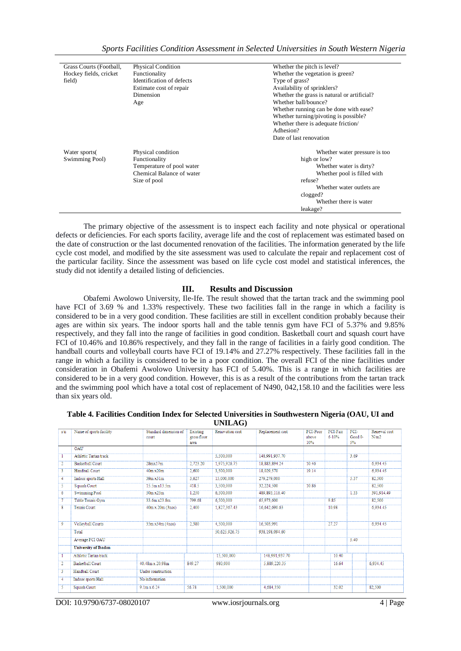| Sports Facilities Condition Assessment in Selected Universities in South Western Nigeria |  |  |  |  |  |
|------------------------------------------------------------------------------------------|--|--|--|--|--|
|------------------------------------------------------------------------------------------|--|--|--|--|--|

| Grass Courts (Football,         | <b>Physical Condition</b>                                                        | Whether the pitch is level?                                                                                                                                                                         |
|---------------------------------|----------------------------------------------------------------------------------|-----------------------------------------------------------------------------------------------------------------------------------------------------------------------------------------------------|
| Hockey fields, cricket          | Functionality                                                                    | Whether the vegetation is green?                                                                                                                                                                    |
| field)                          | Identification of defects                                                        | Type of grass?                                                                                                                                                                                      |
|                                 | Estimate cost of repair                                                          | Availability of sprinklers?                                                                                                                                                                         |
|                                 | Dimension                                                                        | Whether the grass is natural or artificial?                                                                                                                                                         |
|                                 | Age                                                                              | Whether ball/bounce?                                                                                                                                                                                |
|                                 |                                                                                  | Whether running can be done with ease?                                                                                                                                                              |
|                                 |                                                                                  |                                                                                                                                                                                                     |
|                                 |                                                                                  |                                                                                                                                                                                                     |
|                                 |                                                                                  | Adhesion?                                                                                                                                                                                           |
|                                 |                                                                                  | Date of last renovation                                                                                                                                                                             |
|                                 |                                                                                  |                                                                                                                                                                                                     |
|                                 |                                                                                  |                                                                                                                                                                                                     |
|                                 |                                                                                  |                                                                                                                                                                                                     |
|                                 | Chemical Balance of water                                                        |                                                                                                                                                                                                     |
|                                 |                                                                                  | refuse?                                                                                                                                                                                             |
|                                 |                                                                                  | Whether water outlets are                                                                                                                                                                           |
|                                 |                                                                                  |                                                                                                                                                                                                     |
|                                 |                                                                                  | Whether there is water                                                                                                                                                                              |
|                                 |                                                                                  | leakage?                                                                                                                                                                                            |
| Water sports(<br>Swimming Pool) | Physical condition<br>Functionality<br>Temperature of pool water<br>Size of pool | Whether turning/pivoting is possible?<br>Whether there is adequate friction/<br>Whether water pressure is too<br>high or low?<br>Whether water is dirty?<br>Whether pool is filled with<br>clogged? |

The primary objective of the assessment is to inspect each facility and note physical or operational defects or deficiencies. For each sports facility, average life and the cost of replacement was estimated based on the date of construction or the last documented renovation of the facilities. The information generated by the life cycle cost model, and modified by the site assessment was used to calculate the repair and replacement cost of the particular facility. Since the assessment was based on life cycle cost model and statistical inferences, the study did not identify a detailed listing of deficiencies.

### **III. Results and Discussion**

Obafemi Awolowo University, Ile-Ife. The result showed that the tartan track and the swimming pool have FCI of 3.69 % and 1.33% respectively. These two facilities fall in the range in which a facility is considered to be in a very good condition. These facilities are still in excellent condition probably because their ages are within six years. The indoor sports hall and the table tennis gym have FCI of 5.37% and 9.85% respectively, and they fall into the range of facilities in good condition. Basketball court and squash court have FCI of 10.46% and 10.86% respectively, and they fall in the range of facilities in a fairly good condition. The handball courts and volleyball courts have FCI of 19.14% and 27.27% respectively. These facilities fall in the range in which a facility is considered to be in a poor condition. The overall FCI of the nine facilities under consideration in Obafemi Awolowo University has FCI of 5.40%. This is a range in which facilities are considered to be in a very good condition. However, this is as a result of the contributions from the tartan track and the swimming pool which have a total cost of replacement of N490, 042,158.10 and the facilities were less than six years old.

| Table 4. Facilities Condition Index for Selected Universities in Southwestern Nigeria (OAU, UI and |  |
|----------------------------------------------------------------------------------------------------|--|
| UNILAG)                                                                                            |  |

| s/n            | Name of sports facility     | Standard dimension of<br>court | Existing<br>gross floor<br>area | Renovation cost | Replacement cost | FCI-Poor<br>above<br>10% | FCI-Fair<br>$6 - 10%$ | FCI-<br>Good 0-<br>5% | Renewal cost<br>N/m2 |
|----------------|-----------------------------|--------------------------------|---------------------------------|-----------------|------------------|--------------------------|-----------------------|-----------------------|----------------------|
|                | OAU                         |                                |                                 |                 |                  |                          |                       |                       |                      |
|                | Athletic Tartan track       |                                |                                 | 5.500,000       | 148.991.937.70   |                          |                       | 3.69                  |                      |
| $\overline{2}$ | <b>Basketball Court</b>     | 28mx17m                        | 2,723.20                        | 1.975.926.75    | 18,883,894.24    | 10.46                    |                       |                       | 6.934.45             |
| 3              | Handball Court              | 40m x20m                       | 2,600                           | 3.500.000       | 18.029.570       | 19.14                    |                       |                       | 6.934.45             |
| $\overline{4}$ | Indoor sports Hall          | 39m x31m                       | 3.627                           | 15,000,000      | 279,279,000      |                          |                       | 5.37                  | 82,500               |
| 5              | Squash Court                | 15.5m x13.5m                   | 418.5                           | 3.500,000       | 32,224,500       | 10.86                    |                       |                       | 82,500               |
| 6              | <b>Swimming Pool</b>        | 50m x25m                       | 1.250                           | 6,500,000       | 489.893.116.40   |                          |                       | 1.33                  | 391.914.49           |
| 7              | Table Tennis Gym            | 33.6m x23.8m                   | 799.68                          | 6,500,000       | 65,973,600       |                          | 9.85                  |                       | 82,500               |
| 8              | <b>Tennis Court</b>         | $40m \times 20m$ (3nos)        | 2.400                           | 1,827,367.43    | 16,642,690.63    |                          | 10.98                 |                       | 6,934.45             |
| $\overline{9}$ | Volleyball Courts           | 35m x34m (4nos)                | 2.380                           | 4,500,000       | 16,503,991       |                          | 27.27                 |                       | 6,934.45             |
|                | Total                       |                                |                                 | 50,625,926.75   | 938.198.094.60   |                          |                       |                       |                      |
|                | Average FCI OAU             |                                |                                 |                 |                  |                          |                       | 5.40                  |                      |
|                | <b>University of Ibadan</b> |                                |                                 |                 |                  |                          |                       |                       |                      |
| T              | Athletic Tartan track       |                                |                                 | 15,500,000      | 148,991,937.70   |                          | 10.40                 |                       |                      |
| $\overline{2}$ | Basketball Court            | 40.48m x 20.98m                | 849.27                          | 980,000         | 5,889,220.35     |                          | 16.64                 |                       | 6.934.45             |
| 3              | Handball Court              | Under construction             |                                 |                 |                  |                          |                       |                       |                      |
| $\overline{4}$ | Indoor sports Hall          | No information                 |                                 |                 |                  |                          |                       |                       |                      |
| $\overline{5}$ | Squash Court                | $9.1m \times 6.24$             | 56.78                           | 1,500,000       | 4.684.350        |                          | 32.02                 |                       | 82.500               |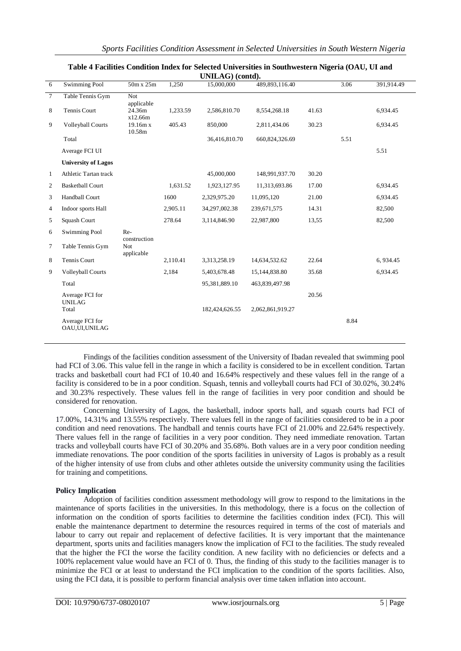|              | UNILAG) (contd).                   |                                   |          |                |                  |       |      |            |  |  |
|--------------|------------------------------------|-----------------------------------|----------|----------------|------------------|-------|------|------------|--|--|
| 6            | <b>Swimming Pool</b>               | 50m x 25m                         | 1,250    | 15,000,000     | 489,893,116.40   |       | 3.06 | 391,914.49 |  |  |
| $\tau$       | Table Tennis Gym                   | <b>Not</b><br>applicable          |          |                |                  |       |      |            |  |  |
| 8            | Tennis Court                       | 24.36m<br>x12.66m                 | 1,233.59 | 2,586,810.70   | 8,554,268.18     | 41.63 |      | 6,934.45   |  |  |
| 9            | <b>Volleyball Courts</b>           | 19.16m x<br>10.58m                | 405.43   | 850,000        | 2,811,434.06     | 30.23 |      | 6,934.45   |  |  |
|              | Total                              |                                   |          | 36,416,810.70  | 660,824,326.69   |       | 5.51 |            |  |  |
|              | Average FCI UI                     |                                   |          |                |                  |       |      | 5.51       |  |  |
|              | <b>University of Lagos</b>         |                                   |          |                |                  |       |      |            |  |  |
| $\mathbf{1}$ | Athletic Tartan track              |                                   |          | 45,000,000     | 148,991,937.70   | 30.20 |      |            |  |  |
| 2            | <b>Basketball Court</b>            |                                   | 1,631.52 | 1,923,127.95   | 11,313,693.86    | 17.00 |      | 6,934.45   |  |  |
| 3            | Handball Court                     |                                   | 1600     | 2,329,975.20   | 11,095,120       | 21.00 |      | 6,934.45   |  |  |
| 4            | Indoor sports Hall                 |                                   | 2,905.11 | 34,297,002.38  | 239,671,575      | 14.31 |      | 82,500     |  |  |
| 5            | Squash Court                       |                                   | 278.64   | 3,114,846.90   | 22,987,800       | 13,55 |      | 82,500     |  |  |
| 6            | <b>Swimming Pool</b>               | Re-                               |          |                |                  |       |      |            |  |  |
| 7            | Table Tennis Gym                   | construction<br>Not<br>applicable |          |                |                  |       |      |            |  |  |
| 8            | Tennis Court                       |                                   | 2,110.41 | 3,313,258.19   | 14,634,532.62    | 22.64 |      | 6,934.45   |  |  |
| 9            | <b>Volleyball Courts</b>           |                                   | 2.184    | 5,403,678.48   | 15,144,838.80    | 35.68 |      | 6,934.45   |  |  |
|              | Total                              |                                   |          | 95,381,889.10  | 463,839,497.98   |       |      |            |  |  |
|              | Average FCI for<br><b>UNILAG</b>   |                                   |          |                |                  | 20.56 |      |            |  |  |
|              | Total                              |                                   |          | 182,424,626.55 | 2,062,861,919.27 |       |      |            |  |  |
|              | Average FCI for<br>OAU, UI, UNILAG |                                   |          |                |                  |       | 8.84 |            |  |  |

## **Table 4 Facilities Condition Index for Selected Universities in Southwestern Nigeria (OAU, UI and**

Findings of the facilities condition assessment of the University of Ibadan revealed that swimming pool had FCI of 3.06. This value fell in the range in which a facility is considered to be in excellent condition. Tartan tracks and basketball court had FCI of 10.40 and 16.64% respectively and these values fell in the range of a facility is considered to be in a poor condition. Squash, tennis and volleyball courts had FCI of 30.02%, 30.24% and 30.23% respectively. These values fell in the range of facilities in very poor condition and should be considered for renovation.

Concerning University of Lagos, the basketball, indoor sports hall, and squash courts had FCI of 17.00%, 14.31% and 13.55% respectively. There values fell in the range of facilities considered to be in a poor condition and need renovations. The handball and tennis courts have FCI of 21.00% and 22.64% respectively. There values fell in the range of facilities in a very poor condition. They need immediate renovation. Tartan tracks and volleyball courts have FCI of 30.20% and 35.68%. Both values are in a very poor condition needing immediate renovations. The poor condition of the sports facilities in university of Lagos is probably as a result of the higher intensity of use from clubs and other athletes outside the university community using the facilities for training and competitions.

### **Policy Implication**

Adoption of facilities condition assessment methodology will grow to respond to the limitations in the maintenance of sports facilities in the universities. In this methodology, there is a focus on the collection of information on the condition of sports facilities to determine the facilities condition index (FCI). This will enable the maintenance department to determine the resources required in terms of the cost of materials and labour to carry out repair and replacement of defective facilities. It is very important that the maintenance department, sports units and facilities managers know the implication of FCI to the facilities. The study revealed that the higher the FCI the worse the facility condition. A new facility with no deficiencies or defects and a 100% replacement value would have an FCI of 0. Thus, the finding of this study to the facilities manager is to minimize the FCI or at least to understand the FCI implication to the condition of the sports facilities. Also, using the FCI data, it is possible to perform financial analysis over time taken inflation into account.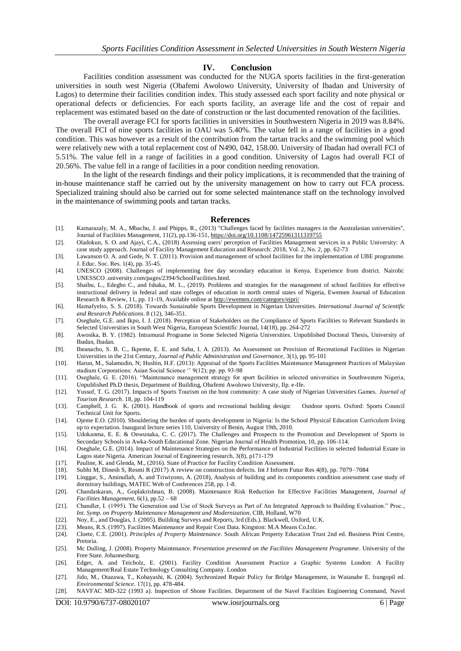#### **IV. Conclusion**

Facilities condition assessment was conducted for the NUGA sports facilities in the first-generation universities in south west Nigeria (Obafemi Awolowo University, University of Ibadan and University of Lagos) to determine their facilities condition index. This study assessed each sport facility and note physical or operational defects or deficiencies. For each sports facility, an average life and the cost of repair and replacement was estimated based on the date of construction or the last documented renovation of the facilities.

The overall average FCI for sports facilities in universities in Southwestern Nigeria in 2019 was 8.84%. The overall FCI of nine sports facilities in OAU was 5.40%. The value fell in a range of facilities in a good condition. This was however as a result of the contribution from the tartan tracks and the swimming pool which were relatively new with a total replacement cost of N490, 042, 158.00. University of Ibadan had overall FCI of 5.51%. The value fell in a range of facilities in a good condition. University of Lagos had overall FCI of 20.56%. The value fell in a range of facilities in a poor condition needing renovation.

In the light of the research findings and their policy implications, it is recommended that the training of in-house maintenance staff be carried out by the university management on how to carry out FCA process. Specialized training should also be carried out for some selected maintenance staff on the technology involved in the maintenance of swimming pools and tartan tracks.

#### **References**

- [1]. Kamarazaly, M. A., Mbachu, J. and Phipps, R., (2013) "Challenges faced by facilities managers in the Australasian universities", Journal of Facilities Management, 11(2), pp.136-151[, https://doi.org/10.1108/14725961311319755](https://doi.org/10.1108/14725961311319755)
- [2]. Oladokun, S. O. and Ajayi, C.A., (2018) Assessing users' perception of Facilities Management services in a Public University: A case study approach. Journal of Facility Management Education and Research: 2018, Vol. 2, No. 2, pp. 62-73
- [3]. Lawanson O. A. and Gede, N. T. (2011). Provision and management of school facilities for the implementation of UBE programme. J. Educ. Soc. Res. 1(4), pp. 35-45.
- [4]. UNESCO (2008). Challenges of implementing free day secondary education in Kenya. Experience from district. Nairobi: UNESSCO .university.com/pages/2394/SchoolFacilities.html.
- [5]. Shaibu, L., Edegbo C., and Ishaka, M. L., (2019). Problems and strategies for the management of school facilities for effective instructional delivery in federal and state colleges of education in north central states of Nigeria, Ewemen Journal of Education Research & Review, 11, pp. 11-19, Available online a[t http://ewemen.com/category/ejpri/](http://ewemen.com/category/ejpri/)
- [6]. Hamafyelto, S. S. (2018). Towards Sustainable Sports Development in Nigerian Universities. *International Journal of Scientific and Research Publications*. 8 (12), 346-351.
- [7]. Oseghale, G.E. and Ikpo, I. J. (2018). Perception of Stakeholders on the Compliance of Sports Facilities to Relevant Standards in Selected Universities in South West Nigeria, European Scientific Journal, 14(18), pp. 264-272
- [8]. Awosika, B. Y. (1982). Intramural Programe in Some Selected Nigeria Universities. Unpublished Doctoral Thesis, University of Ibadan, Ibadan.
- [9]. Iheanacho, S. B. C., Ikpeme, E. E. and Saba, I. A. (2013). An Assessment on Provision of Recreational Facilities in Nigerian Universities in the 21st Century, *Journal of Public Administration and Governance,* 3(1), pp. 95-101
- [10]. Harun, M., Salamudin, N; Hushin, H.F. (2013): Appraisal of the Sports Facilities Maintenance Management Practices of Malaysian stadium Corporations: Asian Social Science '' 9(12); pp. pp. 93-98
- [11]. Oseghale, G. E. (2016). "Maintenance management strategy for sport facilities in selected universities in Southwestern Nigeria, Unpublished Ph.D thesis, Department of Building, Obafemi Awolowo University, Ilp. e-Ife.
- [12]. Yussuf, T. G. (2017). Impacts of Sports Tourism on the host community: A case study of Nigerian Universities Games. *Journal of Tourism Research*. 18, pp. 104-119
- [13]. Campbell, J. G. K. (2001). Handbook of sports and recreational building design: Outdoor sports. Oxford: Sports Council Technical Unit for Sports.
- [14]. Ojeme E.O. (2010). Shouldering the burden of sports development in Nigeria: Is the School Physical Education Curriculum living up to expectation. Inaugural lecture series 110, University of Benin, August 19th, 2010.
- [15]. Udokanma, E. E. & Onwunaka, C. C. (2017). The Challenges and Prospects to the Promotion and Development of Sports in Secondary Schools in Awka-South Educational Zone. Nigerian Journal of Health Promotion, 10, pp. 106-114.
- [16]. Oseghale, G.E. (2014). Impact of Maintenance Strategies on the Performance of Industrial Facilities in selected Industrial Estate in Lagos state Nigeria. American Journal of Engineering research, 3(8), p171-179
- [17]. Pauline, K. and Glenda, M., (2016). State of Practice for Facility Condition Assessment.
- [18]. Subhi M, Dinesh S, Resmi R (2017) A review on construction defects. Int J Inform Futur Res 4(8), pp. 7079–7084
- [19]. Linggar, S., Aminullah, A. and Triwiyono, A. (2018), Analysis of building and its components condition assessment case study of dormitory buildings, MATEC Web of Conferences 258, pp. 1-8.
- [20]. Chandaskaran, A., Goplakrishnan, B. (2008). Maintenance Risk Reduction for Effective Facilities Management, *Journal of Facilities Management,* 6(1), pp.52 – 68
- [21]. Chandler, I. (1995). The Generation and Use of Stock Surveys as Part of An Integrated Approach to Building Evaluation." Proc., *Int. Symp. on Property Maintenance Management and Modernization,* CIB, Holland, W70
- [22]. Noy, E., and Douglas, J. (2005). Building Surveys and Reports, 3rd (Eds.). Blackwell, Oxford, U.K.
- [23]. Means, R.S. (1997). Facilities Maintenance and Repair Cost Data. Kingston: M.A Means Co.Inc.
- [24]. Cloete, C.E. (2001). *Principles of Property Maintenance*. South African Property Education Trust 2nd ed. Business Print Centre, Pretoria.
- [25]. Mc Dulling, J. (2008). Property Maintenance. P*resentation presented on the Facilities Management Programme*. University of the Free State. Johannesburg.
- [26]. Edger, A. and Teicholz, E. (2001). Facility Condition Assessment Practice a Graphic Systems London: A Facility Management/Real Estate Technology Consulting Company. London
- [27]. Jido, M., Otazawa, T., Kobayashi, K. (2004). Sychronized Repair Policy for Bridge Management, in Watanabe E. frangopil ed. *Environmental Science*. 17(1), pp. 478-484.
- [28]. NAVFAC MD-322 (1993 a). Inspection of Shone Facilities. Department of the Navel Facilities Engineering Command, Navel